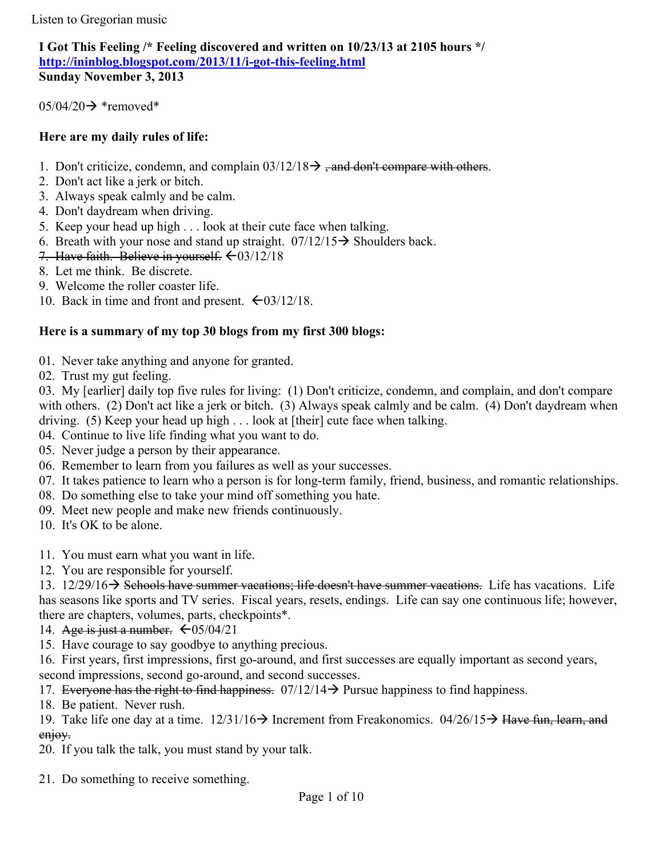Listen to Gregorian music

**I Got This Feeling /\* Feeling discovered and written on 10/23/13 at 2105 hours \*/ http://ininblog.blogspot.com/2013/11/i-got-this-feeling.html Sunday November 3, 2013** 

 $05/04/20 \rightarrow$  \*removed\*

## **Here are my daily rules of life:**

- 1. Don't criticize, condemn, and complain  $03/12/18 \rightarrow$ , and don't compare with others.
- 2. Don't act like a jerk or bitch.
- 3. Always speak calmly and be calm.
- 4. Don't daydream when driving.
- 5. Keep your head up high . . . look at their cute face when talking.
- 6. Breath with your nose and stand up straight.  $07/12/15 \rightarrow$  Shoulders back.
- 7. Have faith. Believe in yourself.  $\leftarrow$  03/12/18
- 8. Let me think. Be discrete.
- 9. Welcome the roller coaster life.
- 10. Back in time and front and present.  $\leftarrow 03/12/18$ .

#### **Here is a summary of my top 30 blogs from my first 300 blogs:**

- 01. Never take anything and anyone for granted.
- 02. Trust my gut feeling.

03. My [earlier] daily top five rules for living: (1) Don't criticize, condemn, and complain, and don't compare with others. (2) Don't act like a jerk or bitch. (3) Always speak calmly and be calm. (4) Don't daydream when driving. (5) Keep your head up high . . . look at [their] cute face when talking.

- 04. Continue to live life finding what you want to do.
- 05. Never judge a person by their appearance.
- 06. Remember to learn from you failures as well as your successes.
- 07. It takes patience to learn who a person is for long-term family, friend, business, and romantic relationships.
- 08. Do something else to take your mind off something you hate.
- 09. Meet new people and make new friends continuously.
- 10. It's OK to be alone.
- 11. You must earn what you want in life.
- 12. You are responsible for yourself.

13.  $12/29/16 \rightarrow$  Schools have summer vacations; life doesn't have summer vacations. Life has vacations. Life has seasons like sports and TV series. Fiscal years, resets, endings. Life can say one continuous life; however, there are chapters, volumes, parts, checkpoints\*.

- 14. Age is just a number.  $\leftarrow 05/04/21$
- 15. Have courage to say goodbye to anything precious.

16. First years, first impressions, first go-around, and first successes are equally important as second years, second impressions, second go-around, and second successes.

17. Everyone has the right to find happiness.  $07/12/14 \rightarrow$  Pursue happiness to find happiness.

18. Be patient. Never rush.

19. Take life one day at a time.  $12/31/16 \rightarrow$  Increment from Freakonomics.  $04/26/15 \rightarrow$  Have fun, learn, and enjoy.

20. If you talk the talk, you must stand by your talk.

21. Do something to receive something.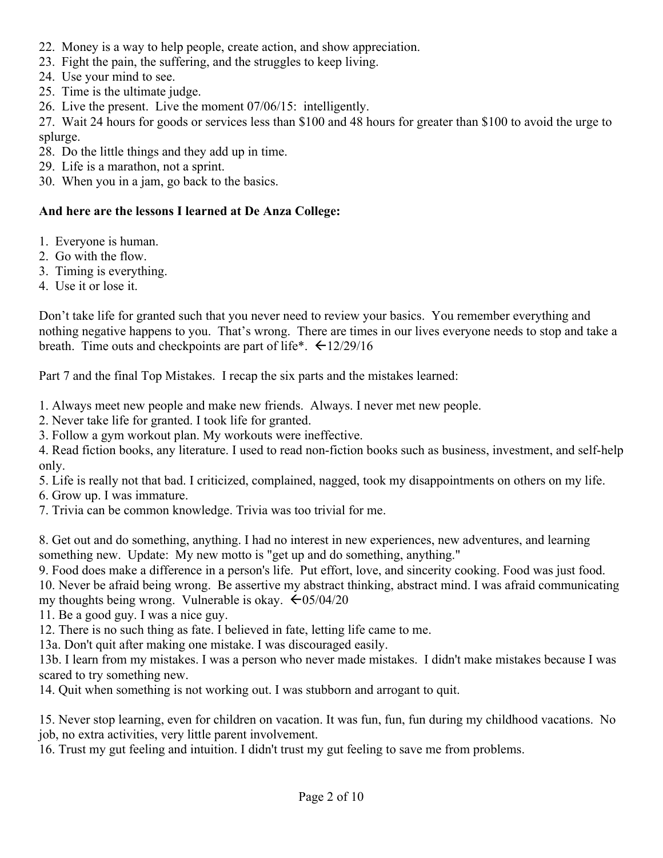- 22. Money is a way to help people, create action, and show appreciation.
- 23. Fight the pain, the suffering, and the struggles to keep living.
- 24. Use your mind to see.
- 25. Time is the ultimate judge.
- 26. Live the present. Live the moment 07/06/15: intelligently.

27. Wait 24 hours for goods or services less than \$100 and 48 hours for greater than \$100 to avoid the urge to splurge.

- 28. Do the little things and they add up in time.
- 29. Life is a marathon, not a sprint.
- 30. When you in a jam, go back to the basics.

## **And here are the lessons I learned at De Anza College:**

- 1. Everyone is human.
- 2. Go with the flow.
- 3. Timing is everything.
- 4. Use it or lose it.

Don't take life for granted such that you never need to review your basics. You remember everything and nothing negative happens to you. That's wrong. There are times in our lives everyone needs to stop and take a breath. Time outs and checkpoints are part of life\*.  $\leftarrow$  12/29/16

Part 7 and the final Top Mistakes. I recap the six parts and the mistakes learned:

1. Always meet new people and make new friends. Always. I never met new people.

- 2. Never take life for granted. I took life for granted.
- 3. Follow a gym workout plan. My workouts were ineffective.
- 4. Read fiction books, any literature. I used to read non-fiction books such as business, investment, and self-help only.
- 5. Life is really not that bad. I criticized, complained, nagged, took my disappointments on others on my life.
- 6. Grow up. I was immature.
- 7. Trivia can be common knowledge. Trivia was too trivial for me.

8. Get out and do something, anything. I had no interest in new experiences, new adventures, and learning something new. Update: My new motto is "get up and do something, anything."

9. Food does make a difference in a person's life. Put effort, love, and sincerity cooking. Food was just food.

10. Never be afraid being wrong. Be assertive my abstract thinking, abstract mind. I was afraid communicating my thoughts being wrong. Vulnerable is okay.  $\leftarrow 05/04/20$ 

11. Be a good guy. I was a nice guy.

- 12. There is no such thing as fate. I believed in fate, letting life came to me.
- 13a. Don't quit after making one mistake. I was discouraged easily.

13b. I learn from my mistakes. I was a person who never made mistakes. I didn't make mistakes because I was scared to try something new.

14. Quit when something is not working out. I was stubborn and arrogant to quit.

15. Never stop learning, even for children on vacation. It was fun, fun, fun during my childhood vacations. No job, no extra activities, very little parent involvement.

16. Trust my gut feeling and intuition. I didn't trust my gut feeling to save me from problems.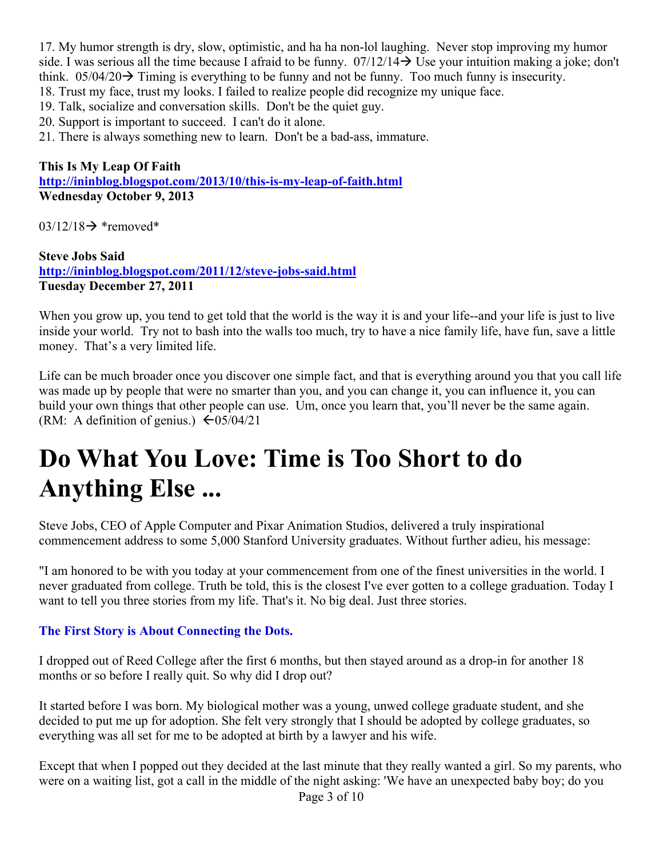17. My humor strength is dry, slow, optimistic, and ha ha non-lol laughing. Never stop improving my humor side. I was serious all the time because I afraid to be funny.  $07/12/14 \rightarrow$  Use your intuition making a joke; don't think.  $05/04/20 \rightarrow$  Timing is everything to be funny and not be funny. Too much funny is insecurity.

18. Trust my face, trust my looks. I failed to realize people did recognize my unique face.

19. Talk, socialize and conversation skills. Don't be the quiet guy.

20. Support is important to succeed. I can't do it alone.

21. There is always something new to learn. Don't be a bad-ass, immature.

## **This Is My Leap Of Faith**

**http://ininblog.blogspot.com/2013/10/this-is-my-leap-of-faith.html Wednesday October 9, 2013** 

 $03/12/18 \rightarrow$  \*removed\*

#### **Steve Jobs Said http://ininblog.blogspot.com/2011/12/steve-jobs-said.html Tuesday December 27, 2011**

When you grow up, you tend to get told that the world is the way it is and your life--and your life is just to live inside your world. Try not to bash into the walls too much, try to have a nice family life, have fun, save a little money. That's a very limited life.

Life can be much broader once you discover one simple fact, and that is everything around you that you call life was made up by people that were no smarter than you, and you can change it, you can influence it, you can build your own things that other people can use. Um, once you learn that, you'll never be the same again. (RM: A definition of genius.)  $\leftarrow 05/04/21$ 

# **Do What You Love: Time is Too Short to do Anything Else ...**

Steve Jobs, CEO of Apple Computer and Pixar Animation Studios, delivered a truly inspirational commencement address to some 5,000 Stanford University graduates. Without further adieu, his message:

"I am honored to be with you today at your commencement from one of the finest universities in the world. I never graduated from college. Truth be told, this is the closest I've ever gotten to a college graduation. Today I want to tell you three stories from my life. That's it. No big deal. Just three stories.

## **The First Story is About Connecting the Dots.**

I dropped out of Reed College after the first 6 months, but then stayed around as a drop-in for another 18 months or so before I really quit. So why did I drop out?

It started before I was born. My biological mother was a young, unwed college graduate student, and she decided to put me up for adoption. She felt very strongly that I should be adopted by college graduates, so everything was all set for me to be adopted at birth by a lawyer and his wife.

Except that when I popped out they decided at the last minute that they really wanted a girl. So my parents, who were on a waiting list, got a call in the middle of the night asking: 'We have an unexpected baby boy; do you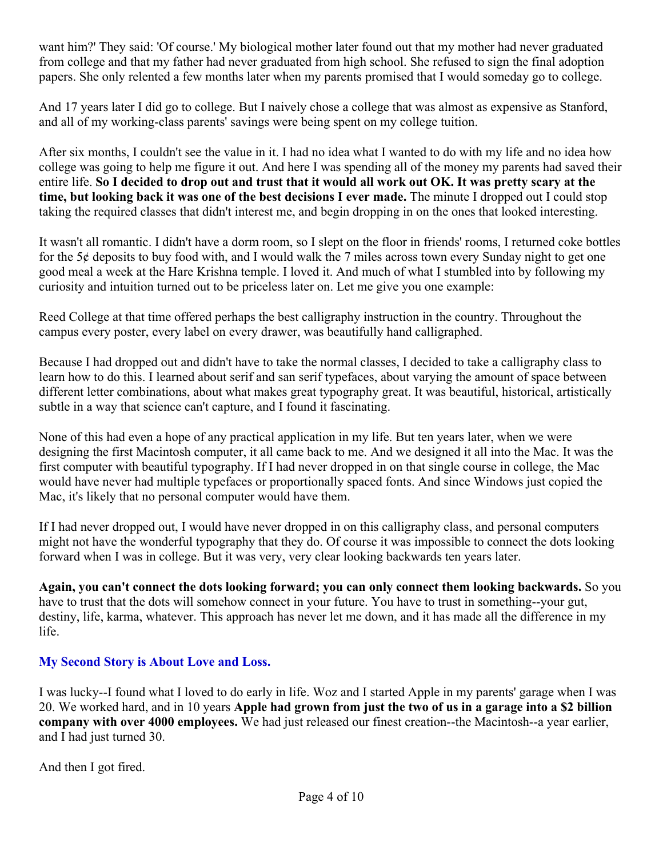want him?' They said: 'Of course.' My biological mother later found out that my mother had never graduated from college and that my father had never graduated from high school. She refused to sign the final adoption papers. She only relented a few months later when my parents promised that I would someday go to college.

And 17 years later I did go to college. But I naively chose a college that was almost as expensive as Stanford, and all of my working-class parents' savings were being spent on my college tuition.

After six months, I couldn't see the value in it. I had no idea what I wanted to do with my life and no idea how college was going to help me figure it out. And here I was spending all of the money my parents had saved their entire life. **So I decided to drop out and trust that it would all work out OK. It was pretty scary at the time, but looking back it was one of the best decisions I ever made.** The minute I dropped out I could stop taking the required classes that didn't interest me, and begin dropping in on the ones that looked interesting.

It wasn't all romantic. I didn't have a dorm room, so I slept on the floor in friends' rooms, I returned coke bottles for the 5¢ deposits to buy food with, and I would walk the 7 miles across town every Sunday night to get one good meal a week at the Hare Krishna temple. I loved it. And much of what I stumbled into by following my curiosity and intuition turned out to be priceless later on. Let me give you one example:

Reed College at that time offered perhaps the best calligraphy instruction in the country. Throughout the campus every poster, every label on every drawer, was beautifully hand calligraphed.

Because I had dropped out and didn't have to take the normal classes, I decided to take a calligraphy class to learn how to do this. I learned about serif and san serif typefaces, about varying the amount of space between different letter combinations, about what makes great typography great. It was beautiful, historical, artistically subtle in a way that science can't capture, and I found it fascinating.

None of this had even a hope of any practical application in my life. But ten years later, when we were designing the first Macintosh computer, it all came back to me. And we designed it all into the Mac. It was the first computer with beautiful typography. If I had never dropped in on that single course in college, the Mac would have never had multiple typefaces or proportionally spaced fonts. And since Windows just copied the Mac, it's likely that no personal computer would have them.

If I had never dropped out, I would have never dropped in on this calligraphy class, and personal computers might not have the wonderful typography that they do. Of course it was impossible to connect the dots looking forward when I was in college. But it was very, very clear looking backwards ten years later.

**Again, you can't connect the dots looking forward; you can only connect them looking backwards.** So you have to trust that the dots will somehow connect in your future. You have to trust in something--your gut, destiny, life, karma, whatever. This approach has never let me down, and it has made all the difference in my life.

## **My Second Story is About Love and Loss.**

I was lucky--I found what I loved to do early in life. Woz and I started Apple in my parents' garage when I was 20. We worked hard, and in 10 years **Apple had grown from just the two of us in a garage into a \$2 billion company with over 4000 employees.** We had just released our finest creation--the Macintosh--a year earlier, and I had just turned 30.

And then I got fired.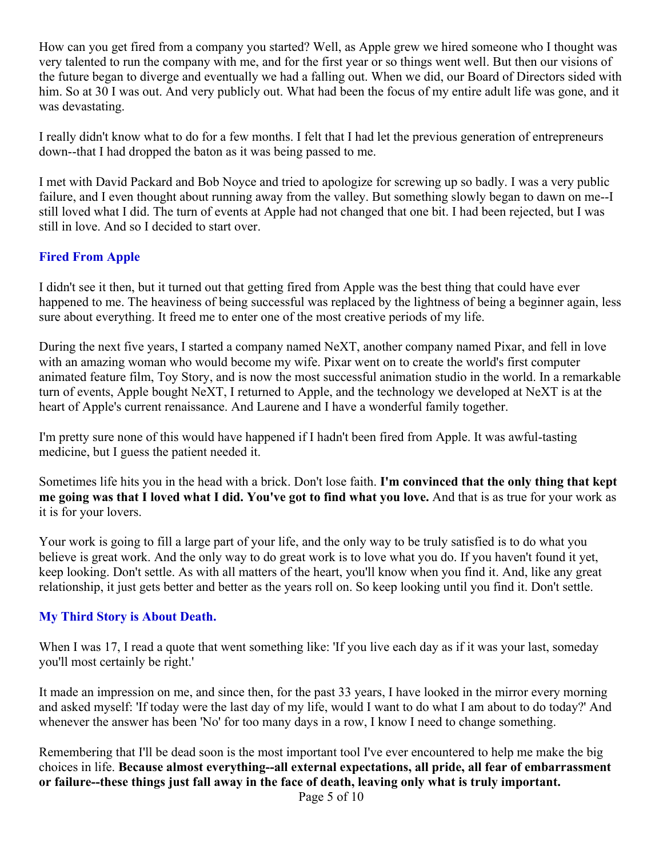How can you get fired from a company you started? Well, as Apple grew we hired someone who I thought was very talented to run the company with me, and for the first year or so things went well. But then our visions of the future began to diverge and eventually we had a falling out. When we did, our Board of Directors sided with him. So at 30 I was out. And very publicly out. What had been the focus of my entire adult life was gone, and it was devastating.

I really didn't know what to do for a few months. I felt that I had let the previous generation of entrepreneurs down--that I had dropped the baton as it was being passed to me.

I met with David Packard and Bob Noyce and tried to apologize for screwing up so badly. I was a very public failure, and I even thought about running away from the valley. But something slowly began to dawn on me--I still loved what I did. The turn of events at Apple had not changed that one bit. I had been rejected, but I was still in love. And so I decided to start over.

## **Fired From Apple**

I didn't see it then, but it turned out that getting fired from Apple was the best thing that could have ever happened to me. The heaviness of being successful was replaced by the lightness of being a beginner again, less sure about everything. It freed me to enter one of the most creative periods of my life.

During the next five years, I started a company named NeXT, another company named Pixar, and fell in love with an amazing woman who would become my wife. Pixar went on to create the world's first computer animated feature film, Toy Story, and is now the most successful animation studio in the world. In a remarkable turn of events, Apple bought NeXT, I returned to Apple, and the technology we developed at NeXT is at the heart of Apple's current renaissance. And Laurene and I have a wonderful family together.

I'm pretty sure none of this would have happened if I hadn't been fired from Apple. It was awful-tasting medicine, but I guess the patient needed it.

Sometimes life hits you in the head with a brick. Don't lose faith. **I'm convinced that the only thing that kept me going was that I loved what I did. You've got to find what you love.** And that is as true for your work as it is for your lovers.

Your work is going to fill a large part of your life, and the only way to be truly satisfied is to do what you believe is great work. And the only way to do great work is to love what you do. If you haven't found it yet, keep looking. Don't settle. As with all matters of the heart, you'll know when you find it. And, like any great relationship, it just gets better and better as the years roll on. So keep looking until you find it. Don't settle.

#### **My Third Story is About Death.**

When I was 17, I read a quote that went something like: 'If you live each day as if it was your last, someday you'll most certainly be right.'

It made an impression on me, and since then, for the past 33 years, I have looked in the mirror every morning and asked myself: 'If today were the last day of my life, would I want to do what I am about to do today?' And whenever the answer has been 'No' for too many days in a row, I know I need to change something.

Page 5 of 10 Remembering that I'll be dead soon is the most important tool I've ever encountered to help me make the big choices in life. **Because almost everything--all external expectations, all pride, all fear of embarrassment or failure--these things just fall away in the face of death, leaving only what is truly important.**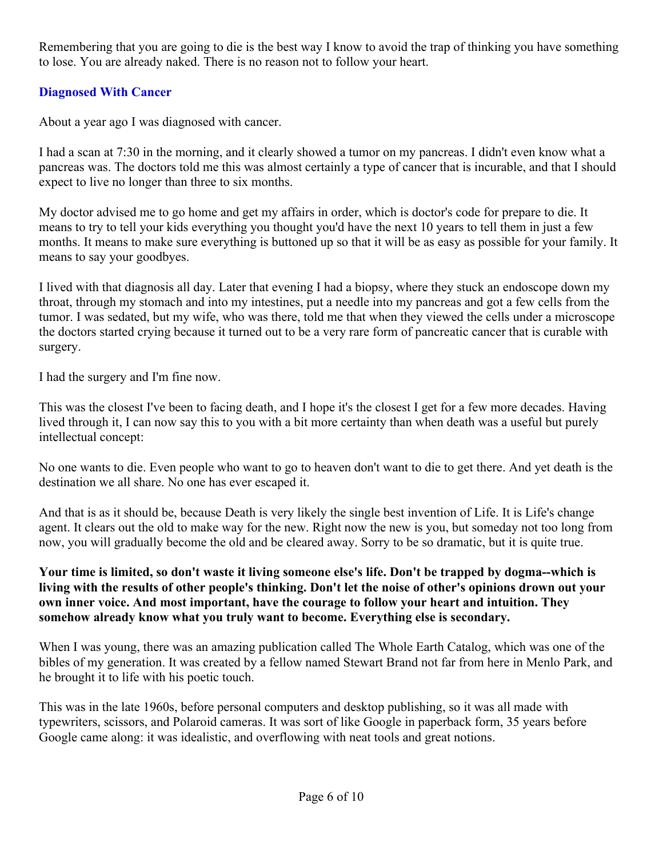Remembering that you are going to die is the best way I know to avoid the trap of thinking you have something to lose. You are already naked. There is no reason not to follow your heart.

## **Diagnosed With Cancer**

About a year ago I was diagnosed with cancer.

I had a scan at 7:30 in the morning, and it clearly showed a tumor on my pancreas. I didn't even know what a pancreas was. The doctors told me this was almost certainly a type of cancer that is incurable, and that I should expect to live no longer than three to six months.

My doctor advised me to go home and get my affairs in order, which is doctor's code for prepare to die. It means to try to tell your kids everything you thought you'd have the next 10 years to tell them in just a few months. It means to make sure everything is buttoned up so that it will be as easy as possible for your family. It means to say your goodbyes.

I lived with that diagnosis all day. Later that evening I had a biopsy, where they stuck an endoscope down my throat, through my stomach and into my intestines, put a needle into my pancreas and got a few cells from the tumor. I was sedated, but my wife, who was there, told me that when they viewed the cells under a microscope the doctors started crying because it turned out to be a very rare form of pancreatic cancer that is curable with surgery.

I had the surgery and I'm fine now.

This was the closest I've been to facing death, and I hope it's the closest I get for a few more decades. Having lived through it, I can now say this to you with a bit more certainty than when death was a useful but purely intellectual concept:

No one wants to die. Even people who want to go to heaven don't want to die to get there. And yet death is the destination we all share. No one has ever escaped it.

And that is as it should be, because Death is very likely the single best invention of Life. It is Life's change agent. It clears out the old to make way for the new. Right now the new is you, but someday not too long from now, you will gradually become the old and be cleared away. Sorry to be so dramatic, but it is quite true.

#### **Your time is limited, so don't waste it living someone else's life. Don't be trapped by dogma--which is living with the results of other people's thinking. Don't let the noise of other's opinions drown out your own inner voice. And most important, have the courage to follow your heart and intuition. They somehow already know what you truly want to become. Everything else is secondary.**

When I was young, there was an amazing publication called The Whole Earth Catalog, which was one of the bibles of my generation. It was created by a fellow named Stewart Brand not far from here in Menlo Park, and he brought it to life with his poetic touch.

This was in the late 1960s, before personal computers and desktop publishing, so it was all made with typewriters, scissors, and Polaroid cameras. It was sort of like Google in paperback form, 35 years before Google came along: it was idealistic, and overflowing with neat tools and great notions.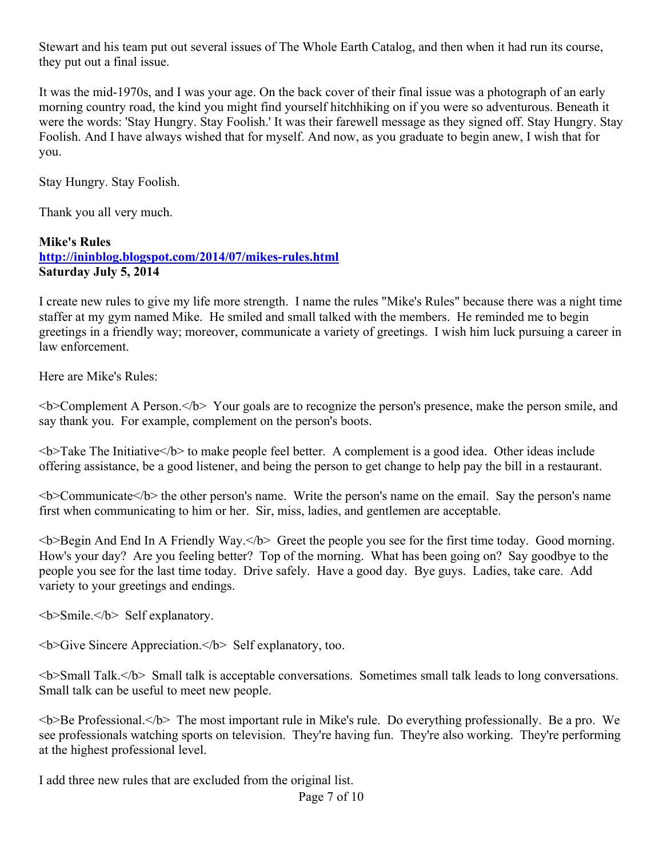Stewart and his team put out several issues of The Whole Earth Catalog, and then when it had run its course, they put out a final issue.

It was the mid-1970s, and I was your age. On the back cover of their final issue was a photograph of an early morning country road, the kind you might find yourself hitchhiking on if you were so adventurous. Beneath it were the words: 'Stay Hungry. Stay Foolish.' It was their farewell message as they signed off. Stay Hungry. Stay Foolish. And I have always wished that for myself. And now, as you graduate to begin anew, I wish that for you.

Stay Hungry. Stay Foolish.

Thank you all very much.

#### **Mike's Rules http://ininblog.blogspot.com/2014/07/mikes-rules.html Saturday July 5, 2014**

I create new rules to give my life more strength. I name the rules "Mike's Rules" because there was a night time staffer at my gym named Mike. He smiled and small talked with the members. He reminded me to begin greetings in a friendly way; moreover, communicate a variety of greetings. I wish him luck pursuing a career in law enforcement.

Here are Mike's Rules:

<b>Complement A Person.</b> Your goals are to recognize the person's presence, make the person smile, and say thank you. For example, complement on the person's boots.

 $$ offering assistance, be a good listener, and being the person to get change to help pay the bill in a restaurant.

 $$ first when communicating to him or her. Sir, miss, ladies, and gentlemen are acceptable.

 $\leq b$  Begin And End In A Friendly Way. $\leq/b$  Greet the people you see for the first time today. Good morning. How's your day? Are you feeling better? Top of the morning. What has been going on? Say goodbye to the people you see for the last time today. Drive safely. Have a good day. Bye guys. Ladies, take care. Add variety to your greetings and endings.

<b>Smile.</b> Self explanatory.

**Subset Sincere Appreciation.**  $\langle b \rangle$  Self explanatory, too.

**Small Talk.** $**S**$ **Small talk is acceptable conversations. Sometimes small talk leads to long conversations.** Small talk can be useful to meet new people.

<b>Be Professional.</b> The most important rule in Mike's rule. Do everything professionally. Be a pro. We see professionals watching sports on television. They're having fun. They're also working. They're performing at the highest professional level.

I add three new rules that are excluded from the original list.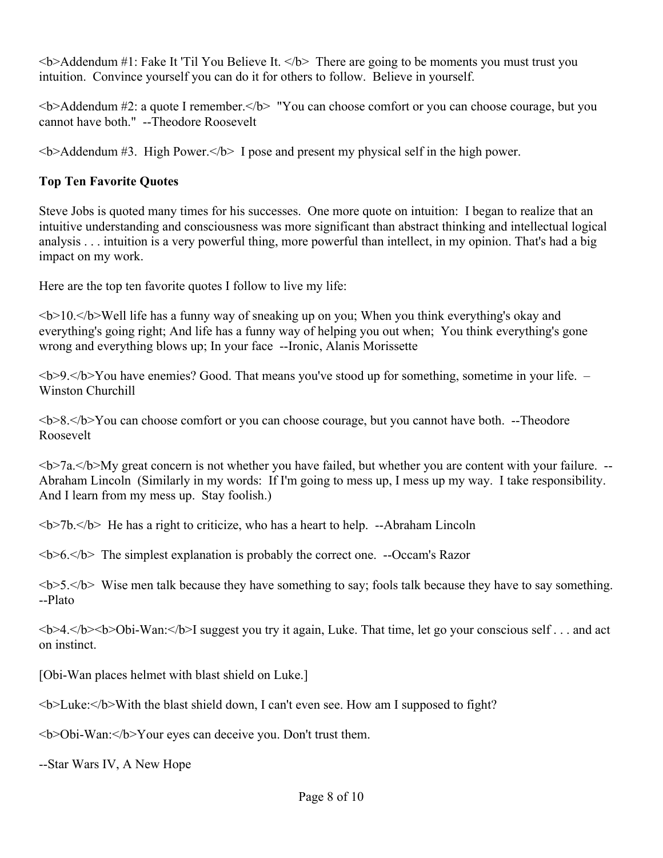$\{\pm 0\}$ Addendum #1: Fake It 'Til You Believe It.  $\langle \pm 0 \rangle$  There are going to be moments you must trust you intuition. Convince yourself you can do it for others to follow. Believe in yourself.

<b>Addendum #2: a quote I remember.</b> "You can choose comfort or you can choose courage, but you cannot have both." --Theodore Roosevelt

<b>Addendum #3. High Power.</b> I pose and present my physical self in the high power.

## **Top Ten Favorite Quotes**

Steve Jobs is quoted many times for his successes. One more quote on intuition: I began to realize that an intuitive understanding and consciousness was more significant than abstract thinking and intellectual logical analysis . . . intuition is a very powerful thing, more powerful than intellect, in my opinion. That's had a big impact on my work.

Here are the top ten favorite quotes I follow to live my life:

<b>10.</b>Well life has a funny way of sneaking up on you; When you think everything's okay and everything's going right; And life has a funny way of helping you out when; You think everything's gone wrong and everything blows up; In your face --Ironic, Alanis Morissette

<b>9.</b>You have enemies? Good. That means you've stood up for something, sometime in your life. – Winston Churchill

<b>8.</b>You can choose comfort or you can choose courage, but you cannot have both. --Theodore Roosevelt

 $$ Abraham Lincoln (Similarly in my words: If I'm going to mess up, I mess up my way. I take responsibility. And I learn from my mess up. Stay foolish.)

**. He has a right to criticize, who has a heart to help. --Abraham Lincoln** 

<b>6.</b> The simplest explanation is probably the correct one. --Occam's Razor

 $5.5$  Wise men talk because they have something to say; fools talk because they have to say something. --Plato

 $\{\pm 0.4$ . $\{\pm 0.4\}$   $\leq$   $\pm 0.5$  **Obi-Wan:** $\leq$   $\pm 0.5$  suggest you try it again, Luke. That time, let go your conscious self . . . and act on instinct.

[Obi-Wan places helmet with blast shield on Luke.]

<b>Luke:</b>With the blast shield down, I can't even see. How am I supposed to fight?

 **Your eyes can deceive you. Don't trust them.** 

--Star Wars IV, A New Hope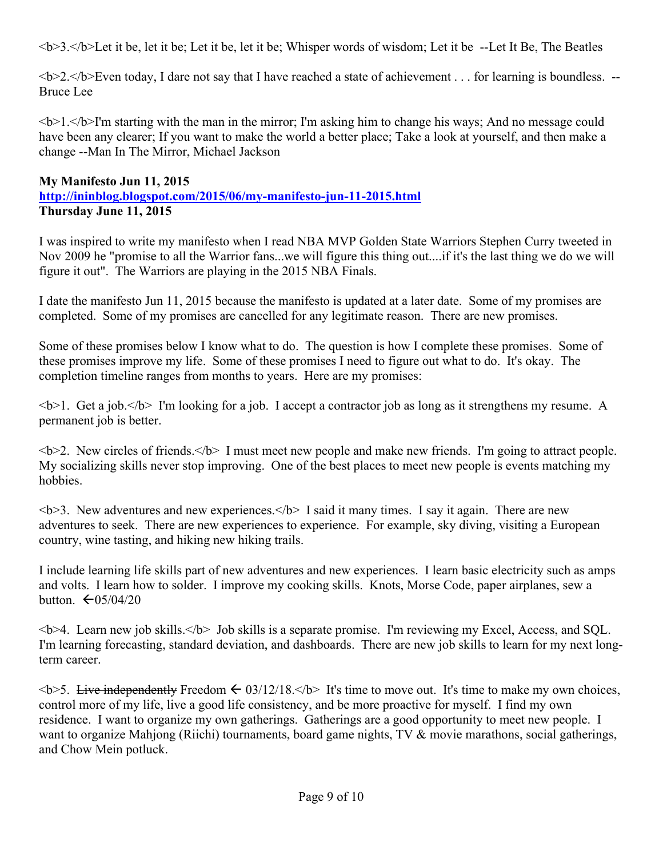<b>3.</b>Let it be, let it be; Let it be, let it be; Whisper words of wisdom; Let it be --Let It Be, The Beatles

<b>2.</b>Even today, I dare not say that I have reached a state of achievement . . . for learning is boundless. -- Bruce Lee

<b>1.</b>I'm starting with the man in the mirror; I'm asking him to change his ways; And no message could have been any clearer; If you want to make the world a better place; Take a look at yourself, and then make a change --Man In The Mirror, Michael Jackson

#### **My Manifesto Jun 11, 2015 http://ininblog.blogspot.com/2015/06/my-manifesto-jun-11-2015.html Thursday June 11, 2015**

I was inspired to write my manifesto when I read NBA MVP Golden State Warriors Stephen Curry tweeted in Nov 2009 he "promise to all the Warrior fans...we will figure this thing out....if it's the last thing we do we will figure it out". The Warriors are playing in the 2015 NBA Finals.

I date the manifesto Jun 11, 2015 because the manifesto is updated at a later date. Some of my promises are completed. Some of my promises are cancelled for any legitimate reason. There are new promises.

Some of these promises below I know what to do. The question is how I complete these promises. Some of these promises improve my life. Some of these promises I need to figure out what to do. It's okay. The completion timeline ranges from months to years. Here are my promises:

 $\{\pm 1. \text{ Get a job.} \leq b$  I'm looking for a job. I accept a contractor job as long as it strengthens my resume. A permanent job is better.

 $\langle b \rangle$  2. New circles of friends.  $\langle b \rangle$  I must meet new people and make new friends. I'm going to attract people. My socializing skills never stop improving. One of the best places to meet new people is events matching my hobbies.

 $\langle b \rangle$ 3. New adventures and new experiences. $\langle b \rangle$  I said it many times. I say it again. There are new adventures to seek. There are new experiences to experience. For example, sky diving, visiting a European country, wine tasting, and hiking new hiking trails.

I include learning life skills part of new adventures and new experiences. I learn basic electricity such as amps and volts. I learn how to solder. I improve my cooking skills. Knots, Morse Code, paper airplanes, sew a button.  $\leftarrow 05/04/20$ 

 $\{\pm 0.4\}$ . Learn new job skills.  $\langle b \rangle$  Job skills is a separate promise. I'm reviewing my Excel, Access, and SQL. I'm learning forecasting, standard deviation, and dashboards. There are new job skills to learn for my next longterm career.

 $5.$  Live independently Freedom  $\leftarrow 03/12/18.5$  It's time to move out. It's time to make my own choices, control more of my life, live a good life consistency, and be more proactive for myself. I find my own residence. I want to organize my own gatherings. Gatherings are a good opportunity to meet new people. I want to organize Mahjong (Riichi) tournaments, board game nights, TV & movie marathons, social gatherings, and Chow Mein potluck.